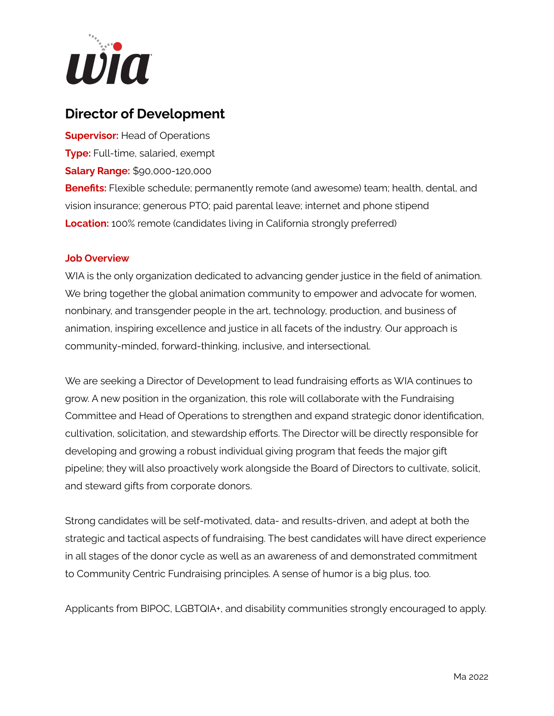

## **Director of Development**

**Supervisor:** Head of Operations

**Type:** Full-time, salaried, exempt

**Salary Range:** \$90,000-120,000

**Benefits:** Flexible schedule; permanently remote (and awesome) team; health, dental, and vision insurance; generous PTO; paid parental leave; internet and phone stipend **Location:** 100% remote (candidates living in California strongly preferred)

## **Job Overview**

WIA is the only organization dedicated to advancing gender justice in the field of animation. We bring together the global animation community to empower and advocate for women, nonbinary, and transgender people in the art, technology, production, and business of animation, inspiring excellence and justice in all facets of the industry. Our approach is community-minded, forward-thinking, inclusive, and intersectional.

We are seeking a Director of Development to lead fundraising efforts as WIA continues to grow. A new position in the organization, this role will collaborate with the Fundraising Committee and Head of Operations to strengthen and expand strategic donor identification, cultivation, solicitation, and stewardship efforts. The Director will be directly responsible for developing and growing a robust individual giving program that feeds the major gift pipeline; they will also proactively work alongside the Board of Directors to cultivate, solicit, and steward gifts from corporate donors.

Strong candidates will be self-motivated, data- and results-driven, and adept at both the strategic and tactical aspects of fundraising. The best candidates will have direct experience in all stages of the donor cycle as well as an awareness of and demonstrated commitment to Community Centric Fundraising principles. A sense of humor is a big plus, too.

Applicants from BIPOC, LGBTQIA+, and disability communities strongly encouraged to apply.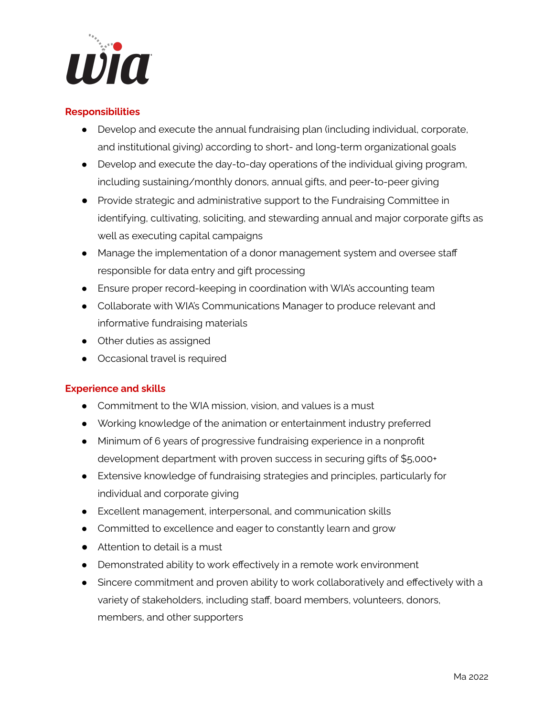

## **Responsibilities**

- Develop and execute the annual fundraising plan (including individual, corporate, and institutional giving) according to short- and long-term organizational goals
- Develop and execute the day-to-day operations of the individual giving program, including sustaining/monthly donors, annual gifts, and peer-to-peer giving
- Provide strategic and administrative support to the Fundraising Committee in identifying, cultivating, soliciting, and stewarding annual and major corporate gifts as well as executing capital campaigns
- Manage the implementation of a donor management system and oversee staff responsible for data entry and gift processing
- Ensure proper record-keeping in coordination with WIA's accounting team
- Collaborate with WIA's Communications Manager to produce relevant and informative fundraising materials
- Other duties as assigned
- Occasional travel is required

## **Experience and skills**

- Commitment to the WIA mission, vision, and values is a must
- Working knowledge of the animation or entertainment industry preferred
- Minimum of 6 years of progressive fundraising experience in a nonprofit development department with proven success in securing gifts of \$5,000+
- Extensive knowledge of fundraising strategies and principles, particularly for individual and corporate giving
- Excellent management, interpersonal, and communication skills
- Committed to excellence and eager to constantly learn and grow
- Attention to detail is a must
- Demonstrated ability to work effectively in a remote work environment
- Sincere commitment and proven ability to work collaboratively and effectively with a variety of stakeholders, including staff, board members, volunteers, donors, members, and other supporters